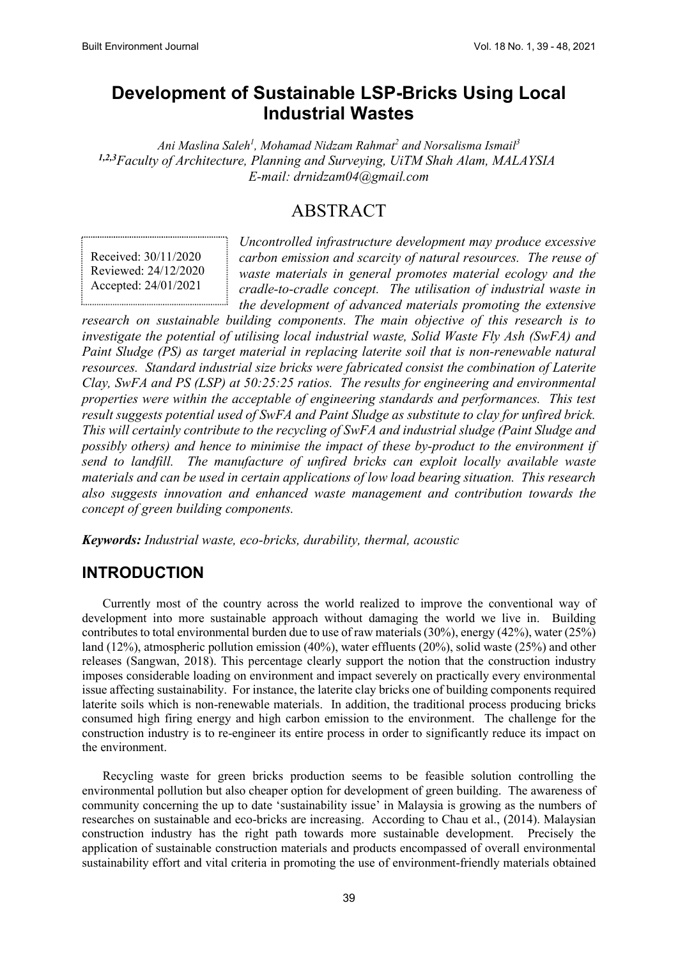# **Development of Sustainable LSP-Bricks Using Local Industrial Wastes**

*Ani Maslina Saleh<sup>1</sup> , Mohamad Nidzam Rahmat<sup>2</sup> and Norsalisma Ismail<sup>3</sup> 1,2,3Faculty of Architecture, Planning and Surveying, UiTM Shah Alam, MALAYSIA E-mail: drnidzam04@gmail.com*

# ABSTRACT

Received: 30/11/2020 Reviewed: 24/12/2020 Accepted: 24/01/2021

*Uncontrolled infrastructure development may produce excessive carbon emission and scarcity of natural resources. The reuse of waste materials in general promotes material ecology and the cradle-to-cradle concept. The utilisation of industrial waste in the development of advanced materials promoting the extensive* 

*research on sustainable building components. The main objective of this research is to investigate the potential of utilising local industrial waste, Solid Waste Fly Ash (SwFA) and Paint Sludge (PS) as target material in replacing laterite soil that is non-renewable natural resources. Standard industrial size bricks were fabricated consist the combination of Laterite Clay, SwFA and PS (LSP) at 50:25:25 ratios. The results for engineering and environmental properties were within the acceptable of engineering standards and performances. This test result suggests potential used of SwFA and Paint Sludge as substitute to clay for unfired brick. This will certainly contribute to the recycling of SwFA and industrial sludge (Paint Sludge and possibly others) and hence to minimise the impact of these by-product to the environment if send to landfill. The manufacture of unfired bricks can exploit locally available waste materials and can be used in certain applications of low load bearing situation. This research also suggests innovation and enhanced waste management and contribution towards the concept of green building components.*

*Keywords: Industrial waste, eco-bricks, durability, thermal, acoustic*

#### **INTRODUCTION**

Currently most of the country across the world realized to improve the conventional way of development into more sustainable approach without damaging the world we live in. Building contributes to total environmental burden due to use of raw materials (30%), energy (42%), water (25%) land (12%), atmospheric pollution emission (40%), water effluents (20%), solid waste (25%) and other releases (Sangwan, 2018). This percentage clearly support the notion that the construction industry imposes considerable loading on environment and impact severely on practically every environmental issue affecting sustainability. For instance, the laterite clay bricks one of building components required laterite soils which is non-renewable materials. In addition, the traditional process producing bricks consumed high firing energy and high carbon emission to the environment. The challenge for the construction industry is to re-engineer its entire process in order to significantly reduce its impact on the environment.

Recycling waste for green bricks production seems to be feasible solution controlling the environmental pollution but also cheaper option for development of green building. The awareness of community concerning the up to date 'sustainability issue' in Malaysia is growing as the numbers of researches on sustainable and eco-bricks are increasing. According to Chau et al., (2014). Malaysian construction industry has the right path towards more sustainable development. Precisely the application of sustainable construction materials and products encompassed of overall environmental sustainability effort and vital criteria in promoting the use of environment-friendly materials obtained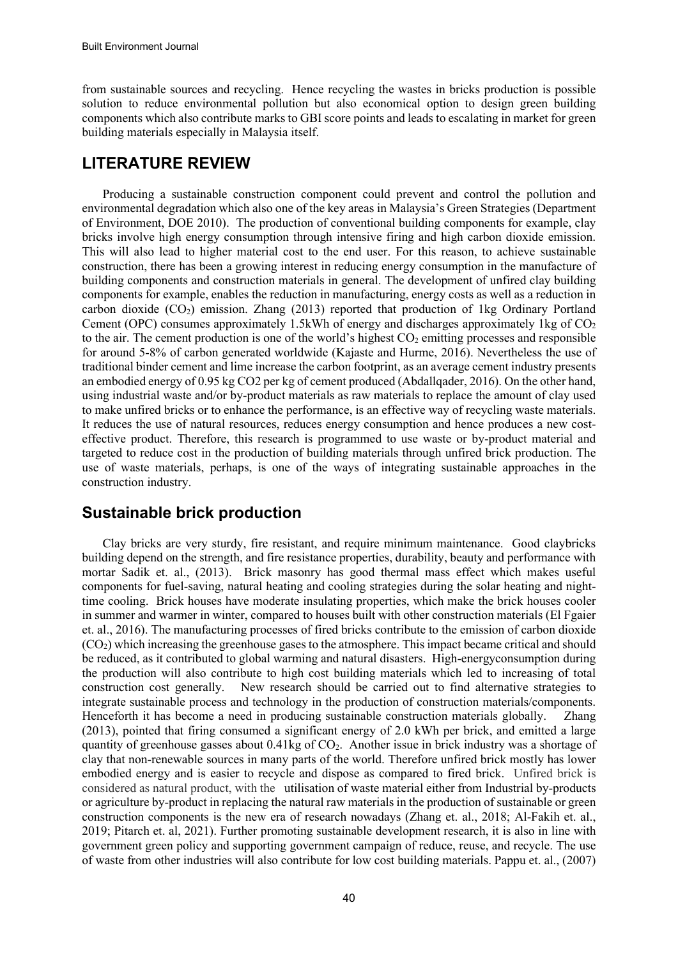from sustainable sources and recycling. Hence recycling the wastes in bricks production is possible solution to reduce environmental pollution but also economical option to design green building components which also contribute marks to GBI score points and leads to escalating in market for green building materials especially in Malaysia itself.

### **LITERATURE REVIEW**

Producing a sustainable construction component could prevent and control the pollution and environmental degradation which also one of the key areas in Malaysia's Green Strategies (Department of Environment, DOE 2010). The production of conventional building components for example, clay bricks involve high energy consumption through intensive firing and high carbon dioxide emission. This will also lead to higher material cost to the end user. For this reason, to achieve sustainable construction, there has been a growing interest in reducing energy consumption in the manufacture of building components and construction materials in general. The development of unfired clay building components for example, enables the reduction in manufacturing, energy costs as well as a reduction in carbon dioxide  $(CO<sub>2</sub>)$  emission. Zhang (2013) reported that production of 1kg Ordinary Portland Cement (OPC) consumes approximately 1.5kWh of energy and discharges approximately 1kg of  $CO<sub>2</sub>$ to the air. The cement production is one of the world's highest  $CO<sub>2</sub>$  emitting processes and responsible for around 5-8% of carbon generated worldwide (Kajaste and Hurme, 2016). Nevertheless the use of traditional binder cement and lime increase the carbon footprint, as an average cement industry presents an embodied energy of 0.95 kg CO2 per kg of cement produced (Abdallqader, 2016). On the other hand, using industrial waste and/or by-product materials as raw materials to replace the amount of clay used to make unfired bricks or to enhance the performance, is an effective way of recycling waste materials. It reduces the use of natural resources, reduces energy consumption and hence produces a new costeffective product. Therefore, this research is programmed to use waste or by-product material and targeted to reduce cost in the production of building materials through unfired brick production. The use of waste materials, perhaps, is one of the ways of integrating sustainable approaches in the construction industry.

### **Sustainable brick production**

Clay bricks are very sturdy, fire resistant, and require minimum maintenance. Good claybricks building depend on the strength, and fire resistance properties, durability, beauty and performance with mortar Sadik et. al., (2013). Brick masonry has good thermal mass effect which makes useful components for fuel-saving, natural heating and cooling strategies during the solar heating and nighttime cooling. Brick houses have moderate insulating properties, which make the brick houses cooler in summer and warmer in winter, compared to houses built with other construction materials (El Fgaier et. al., 2016). The manufacturing processes of fired bricks contribute to the emission of carbon dioxide  $(CO<sub>2</sub>)$  which increasing the greenhouse gases to the atmosphere. This impact became critical and should be reduced, as it contributed to global warming and natural disasters. High-energyconsumption during the production will also contribute to high cost building materials which led to increasing of total construction cost generally. New research should be carried out to find alternative strategies to integrate sustainable process and technology in the production of construction materials/components. Henceforth it has become a need in producing sustainable construction materials globally. Zhang (2013), pointed that firing consumed a significant energy of 2.0 kWh per brick, and emitted a large quantity of greenhouse gasses about  $0.41\text{kg}$  of  $CO<sub>2</sub>$ . Another issue in brick industry was a shortage of clay that non-renewable sources in many parts of the world. Therefore unfired brick mostly has lower embodied energy and is easier to recycle and dispose as compared to fired brick. Unfired brick is considered as natural product, with the utilisation of waste material either from Industrial by-products or agriculture by-product in replacing the natural raw materials in the production of sustainable or green construction components is the new era of research nowadays (Zhang et. al., 2018; Al-Fakih et. al., 2019; Pitarch et. al, 2021). Further promoting sustainable development research, it is also in line with government green policy and supporting government campaign of reduce, reuse, and recycle. The use of waste from other industries will also contribute for low cost building materials. Pappu et. al., (2007)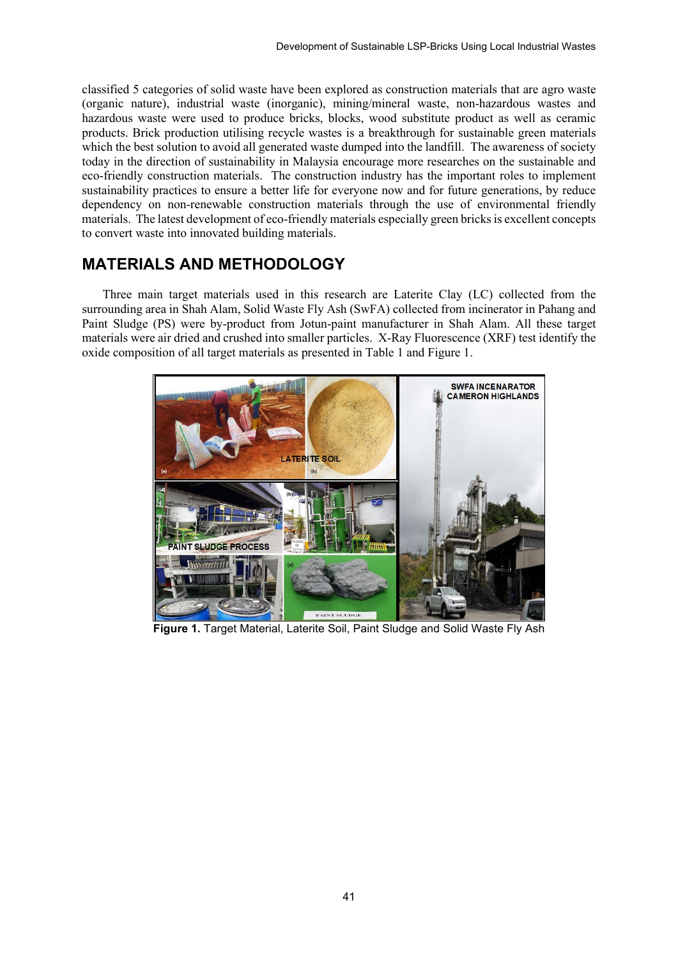classified 5 categories of solid waste have been explored as construction materials that are agro waste (organic nature), industrial waste (inorganic), mining/mineral waste, non-hazardous wastes and hazardous waste were used to produce bricks, blocks, wood substitute product as well as ceramic products. Brick production utilising recycle wastes is a breakthrough for sustainable green materials which the best solution to avoid all generated waste dumped into the landfill. The awareness of society today in the direction of sustainability in Malaysia encourage more researches on the sustainable and eco-friendly construction materials. The construction industry has the important roles to implement sustainability practices to ensure a better life for everyone now and for future generations, by reduce dependency on non-renewable construction materials through the use of environmental friendly materials. The latest development of eco-friendly materials especially green bricks is excellent concepts to convert waste into innovated building materials.

#### **MATERIALS AND METHODOLOGY**

Three main target materials used in this research are Laterite Clay (LC) collected from the surrounding area in Shah Alam, Solid Waste Fly Ash (SwFA) collected from incinerator in Pahang and Paint Sludge (PS) were by-product from Jotun-paint manufacturer in Shah Alam. All these target materials were air dried and crushed into smaller particles. X-Ray Fluorescence (XRF) test identify the oxide composition of all target materials as presented in Table 1 and Figure 1.



**Figure 1.** Target Material, Laterite Soil, Paint Sludge and Solid Waste Fly Ash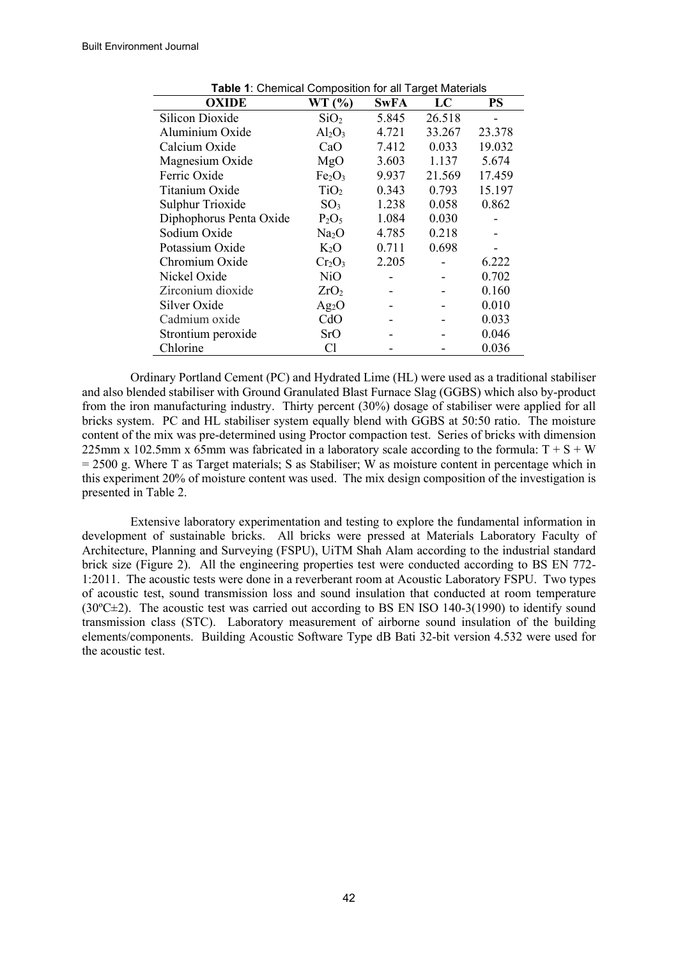| <b>Table 1:</b> Chemical Composition for all Target Materials |                                |             |        |        |  |  |  |
|---------------------------------------------------------------|--------------------------------|-------------|--------|--------|--|--|--|
| <b>OXIDE</b>                                                  | WT(%)                          | <b>SwFA</b> | LC     | PS     |  |  |  |
| <b>Silicon Dioxide</b>                                        | SiO <sub>2</sub>               | 5.845       | 26.518 |        |  |  |  |
| Aluminium Oxide                                               | $Al_2O_3$                      | 4.721       | 33.267 | 23.378 |  |  |  |
| Calcium Oxide                                                 | CaO                            | 7.412       | 0.033  | 19.032 |  |  |  |
| Magnesium Oxide                                               | MgO                            | 3.603       | 1.137  | 5.674  |  |  |  |
| Ferric Oxide                                                  | Fe <sub>2</sub> O <sub>3</sub> | 9.937       | 21.569 | 17.459 |  |  |  |
| Titanium Oxide                                                | TiO <sub>2</sub>               | 0.343       | 0.793  | 15.197 |  |  |  |
| Sulphur Trioxide                                              | SO <sub>3</sub>                | 1.238       | 0.058  | 0.862  |  |  |  |
| Diphophorus Penta Oxide                                       | $P_2O_5$                       | 1.084       | 0.030  |        |  |  |  |
| Sodium Oxide                                                  | Na <sub>2</sub> O              | 4.785       | 0.218  |        |  |  |  |
| Potassium Oxide                                               | $K_2O$                         | 0.711       | 0.698  |        |  |  |  |
| Chromium Oxide                                                | $Cr_2O_3$                      | 2.205       |        | 6.222  |  |  |  |
| Nickel Oxide                                                  | NiO                            |             |        | 0.702  |  |  |  |
| Zirconium dioxide                                             | ZrO <sub>2</sub>               |             |        | 0.160  |  |  |  |
| Silver Oxide                                                  | $Ag_2O$                        |             |        | 0.010  |  |  |  |
| Cadmium oxide                                                 | CdO                            |             |        | 0.033  |  |  |  |
| Strontium peroxide                                            | SrO                            |             |        | 0.046  |  |  |  |
| Chlorine                                                      | Cl                             |             |        | 0.036  |  |  |  |

Ordinary Portland Cement (PC) and Hydrated Lime (HL) were used as a traditional stabiliser and also blended stabiliser with Ground Granulated Blast Furnace Slag (GGBS) which also by-product from the iron manufacturing industry. Thirty percent (30%) dosage of stabiliser were applied for all bricks system. PC and HL stabiliser system equally blend with GGBS at 50:50 ratio. The moisture content of the mix was pre-determined using Proctor compaction test. Series of bricks with dimension 225mm x 102.5mm x 65mm was fabricated in a laboratory scale according to the formula:  $T + S + W$  $= 2500$  g. Where T as Target materials; S as Stabiliser; W as moisture content in percentage which in this experiment 20% of moisture content was used. The mix design composition of the investigation is presented in Table 2.

Extensive laboratory experimentation and testing to explore the fundamental information in development of sustainable bricks. All bricks were pressed at Materials Laboratory Faculty of Architecture, Planning and Surveying (FSPU), UiTM Shah Alam according to the industrial standard brick size (Figure 2). All the engineering properties test were conducted according to BS EN 772- 1:2011. The acoustic tests were done in a reverberant room at Acoustic Laboratory FSPU. Two types of acoustic test, sound transmission loss and sound insulation that conducted at room temperature  $(30^{\circ}$ C $\pm$ 2). The acoustic test was carried out according to BS EN ISO 140-3(1990) to identify sound transmission class (STC). Laboratory measurement of airborne sound insulation of the building elements/components. Building Acoustic Software Type dB Bati 32-bit version 4.532 were used for the acoustic test.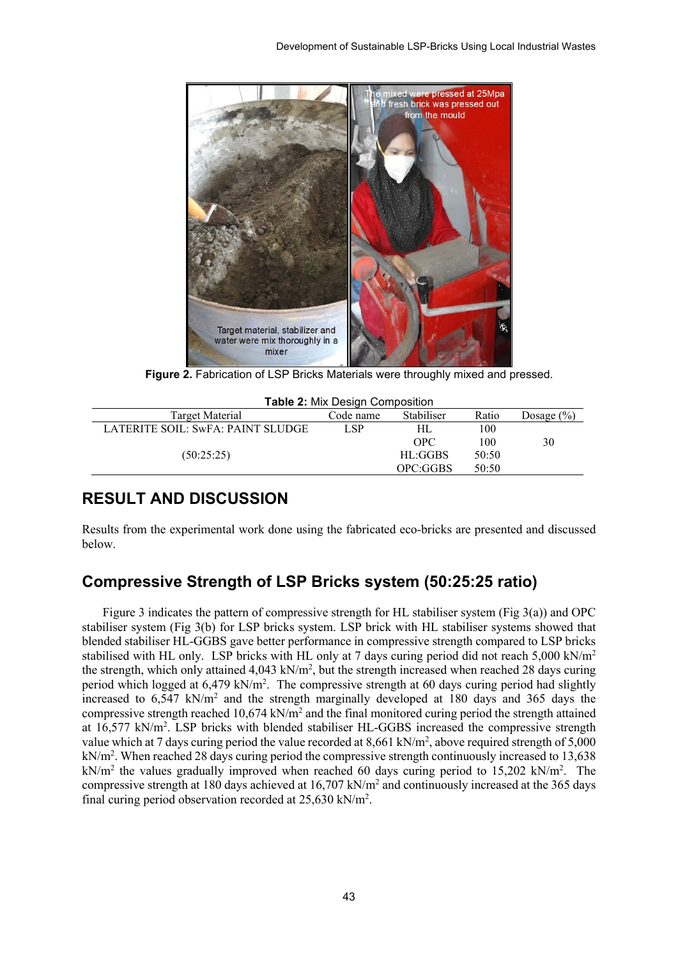

**Figure 2.** Fabrication of LSP Bricks Materials were throughly mixed and pressed.

| <b>Table 2: Mix Design Composition</b> |           |            |       |                |  |  |  |
|----------------------------------------|-----------|------------|-------|----------------|--|--|--|
| Target Material                        | Code name | Stabiliser | Ratio | Dosage $(\% )$ |  |  |  |
| LATERITE SOIL: SwFA: PAINT SLUDGE      | LSP       | HL         | 100   |                |  |  |  |
|                                        |           | OPC.       | 100   | 30             |  |  |  |
| (50:25:25)                             |           | HL:GGBS    | 50:50 |                |  |  |  |
|                                        |           | OPC:GGBS   | 50:50 |                |  |  |  |

### **RESULT AND DISCUSSION**

Results from the experimental work done using the fabricated eco-bricks are presented and discussed below.

### **Compressive Strength of LSP Bricks system (50:25:25 ratio)**

Figure 3 indicates the pattern of compressive strength for HL stabiliser system (Fig 3(a)) and OPC stabiliser system (Fig 3(b) for LSP bricks system. LSP brick with HL stabiliser systems showed that blended stabiliser HL-GGBS gave better performance in compressive strength compared to LSP bricks stabilised with HL only. LSP bricks with HL only at 7 days curing period did not reach 5,000 kN/m2 the strength, which only attained  $4,043$  kN/m<sup>2</sup>, but the strength increased when reached 28 days curing period which logged at 6,479 kN/m<sup>2</sup>. The compressive strength at 60 days curing period had slightly increased to  $6.547$  kN/m<sup>2</sup> and the strength marginally developed at 180 days and 365 days the compressive strength reached 10,674 kN/m2 and the final monitored curing period the strength attained at 16,577 kN/m<sup>2</sup>. LSP bricks with blended stabiliser HL-GGBS increased the compressive strength value which at 7 days curing period the value recorded at 8,661 kN/m<sup>2</sup>, above required strength of 5,000 kN/m2 . When reached 28 days curing period the compressive strength continuously increased to 13,638 kN/m<sup>2</sup> the values gradually improved when reached 60 days curing period to 15,202 kN/m<sup>2</sup>. The compressive strength at 180 days achieved at 16,707 kN/m2 and continuously increased at the 365 days final curing period observation recorded at 25,630 kN/m<sup>2</sup>.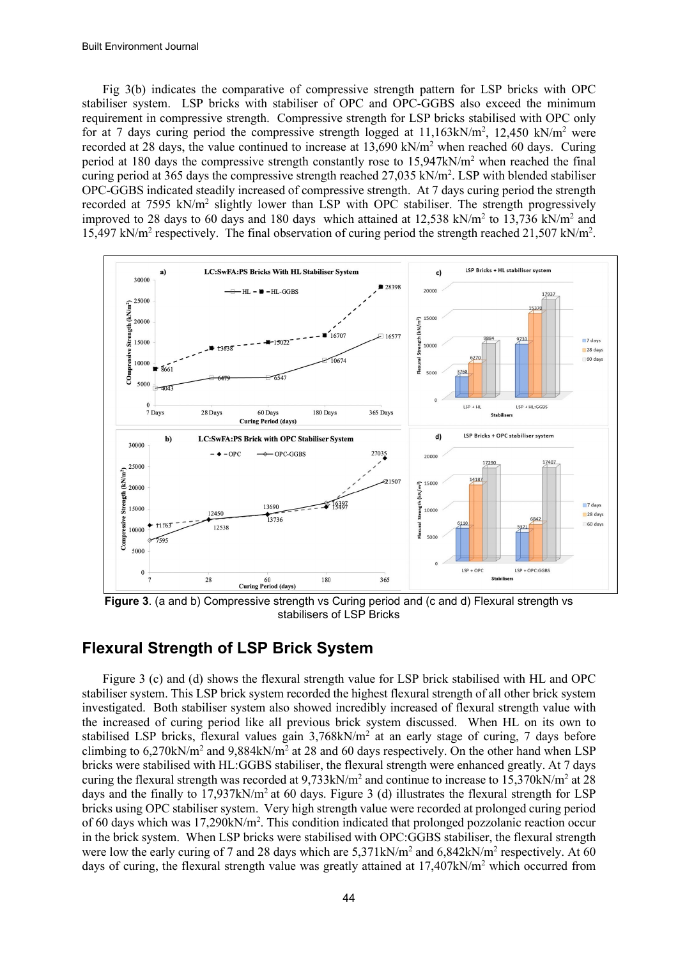Fig 3(b) indicates the comparative of compressive strength pattern for LSP bricks with OPC stabiliser system. LSP bricks with stabiliser of OPC and OPC-GGBS also exceed the minimum requirement in compressive strength. Compressive strength for LSP bricks stabilised with OPC only for at 7 days curing period the compressive strength logged at  $11,163kN/m^2$ ,  $12,450 kN/m^2$  were recorded at 28 days, the value continued to increase at  $13,690 \text{ kN/m}^2$  when reached 60 days. Curing period at 180 days the compressive strength constantly rose to 15,947kN/m2 when reached the final curing period at 365 days the compressive strength reached 27,035 kN/m<sup>2</sup>. LSP with blended stabiliser OPC-GGBS indicated steadily increased of compressive strength. At 7 days curing period the strength recorded at 7595 kN/m2 slightly lower than LSP with OPC stabiliser. The strength progressively improved to 28 days to 60 days and 180 days which attained at 12,538 kN/m2 to 13,736 kN/m2 and 15,497 kN/m<sup>2</sup> respectively. The final observation of curing period the strength reached 21,507 kN/m<sup>2</sup>.



**Figure 3**. (a and b) Compressive strength vs Curing period and (c and d) Flexural strength vs stabilisers of LSP Bricks

### **Flexural Strength of LSP Brick System**

Figure 3 (c) and (d) shows the flexural strength value for LSP brick stabilised with HL and OPC stabiliser system. This LSP brick system recorded the highest flexural strength of all other brick system investigated. Both stabiliser system also showed incredibly increased of flexural strength value with the increased of curing period like all previous brick system discussed. When HL on its own to stabilised LSP bricks, flexural values gain  $3,768kN/m<sup>2</sup>$  at an early stage of curing, 7 days before climbing to  $6,270kN/m^2$  and  $9,884kN/m^2$  at 28 and 60 days respectively. On the other hand when LSP bricks were stabilised with HL:GGBS stabiliser, the flexural strength were enhanced greatly. At 7 days curing the flexural strength was recorded at  $9.733 \text{kN/m}^2$  and continue to increase to  $15.370 \text{kN/m}^2$  at 28 days and the finally to  $17.937 \text{kN/m}^2$  at 60 days. Figure 3 (d) illustrates the flexural strength for LSP bricks using OPC stabiliser system. Very high strength value were recorded at prolonged curing period of 60 days which was 17,290kN/m<sup>2</sup>. This condition indicated that prolonged pozzolanic reaction occur in the brick system. When LSP bricks were stabilised with OPC:GGBS stabiliser, the flexural strength were low the early curing of 7 and 28 days which are  $5,371 \text{kN/m}^2$  and  $6,842 \text{kN/m}^2$  respectively. At 60 days of curing, the flexural strength value was greatly attained at  $17.407kN/m^2$  which occurred from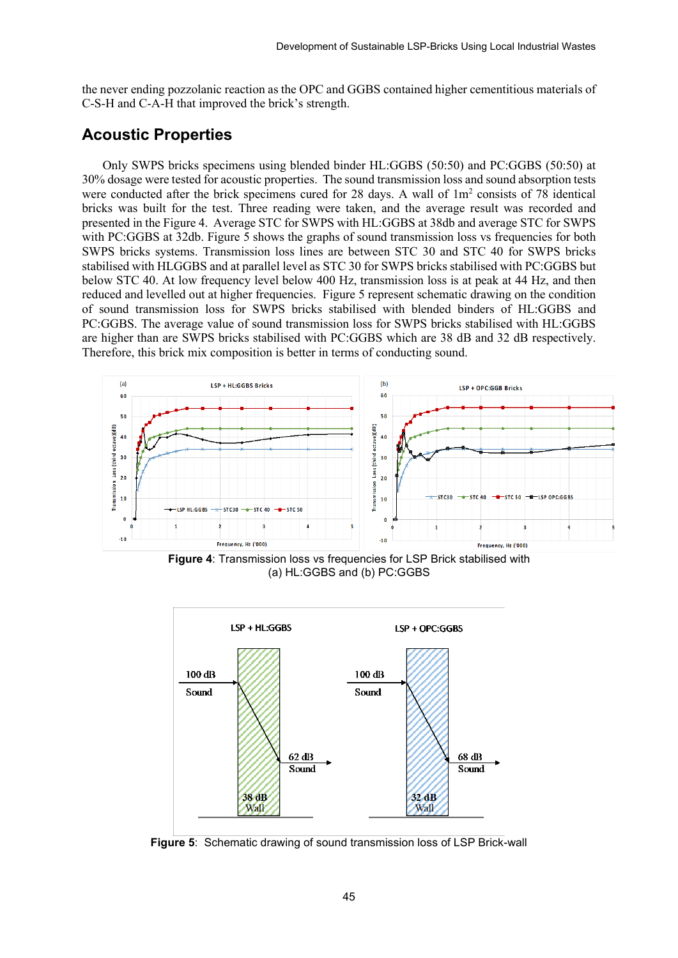the never ending pozzolanic reaction as the OPC and GGBS contained higher cementitious materials of C-S-H and C-A-H that improved the brick's strength.

#### **Acoustic Properties**

Only SWPS bricks specimens using blended binder HL:GGBS (50:50) and PC:GGBS (50:50) at 30% dosage were tested for acoustic properties. The sound transmission loss and sound absorption tests were conducted after the brick specimens cured for 28 days. A wall of  $1m<sup>2</sup>$  consists of 78 identical bricks was built for the test. Three reading were taken, and the average result was recorded and presented in the Figure 4. Average STC for SWPS with HL:GGBS at 38db and average STC for SWPS with PC:GGBS at 32db. Figure 5 shows the graphs of sound transmission loss vs frequencies for both SWPS bricks systems. Transmission loss lines are between STC 30 and STC 40 for SWPS bricks stabilised with HLGGBS and at parallel level as STC 30 for SWPS bricks stabilised with PC:GGBS but below STC 40. At low frequency level below 400 Hz, transmission loss is at peak at 44 Hz, and then reduced and levelled out at higher frequencies. Figure 5 represent schematic drawing on the condition of sound transmission loss for SWPS bricks stabilised with blended binders of HL:GGBS and PC:GGBS. The average value of sound transmission loss for SWPS bricks stabilised with HL:GGBS are higher than are SWPS bricks stabilised with PC:GGBS which are 38 dB and 32 dB respectively. Therefore, this brick mix composition is better in terms of conducting sound.



**Figure 4**: Transmission loss vs frequencies for LSP Brick stabilised with (a) HL:GGBS and (b) PC:GGBS



**Figure 5**: Schematic drawing of sound transmission loss of LSP Brick-wall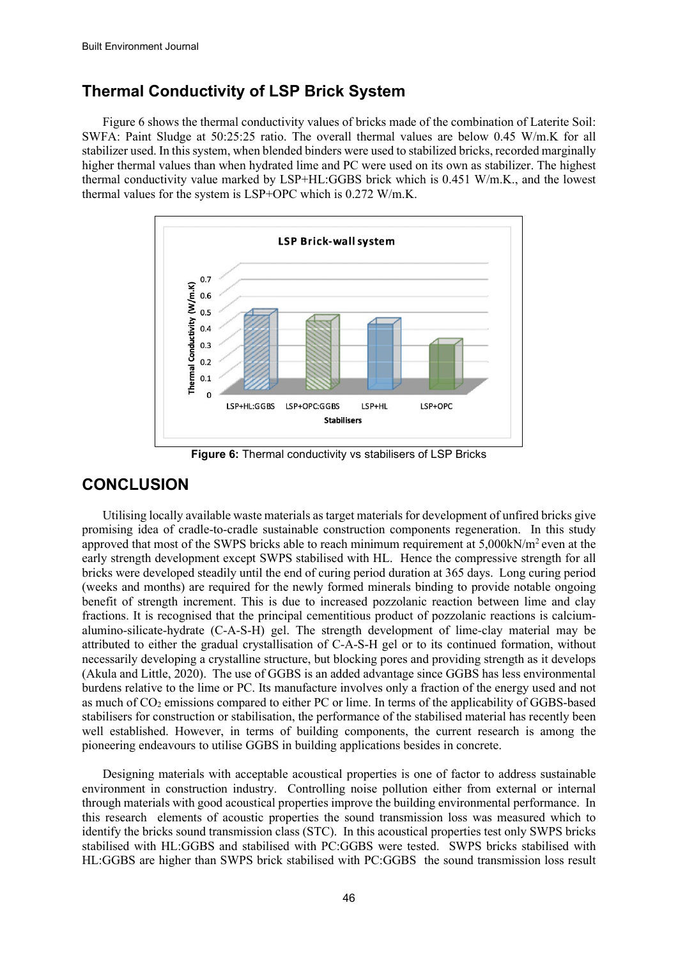## **Thermal Conductivity of LSP Brick System**

Figure 6 shows the thermal conductivity values of bricks made of the combination of Laterite Soil: SWFA: Paint Sludge at 50:25:25 ratio. The overall thermal values are below 0.45 W/m.K for all stabilizer used. In this system, when blended binders were used to stabilized bricks, recorded marginally higher thermal values than when hydrated lime and PC were used on its own as stabilizer. The highest thermal conductivity value marked by LSP+HL:GGBS brick which is 0.451 W/m.K., and the lowest thermal values for the system is LSP+OPC which is 0.272 W/m.K.



**Figure 6:** Thermal conductivity vs stabilisers of LSP Bricks

## **CONCLUSION**

Utilising locally available waste materials as target materials for development of unfired bricks give promising idea of cradle-to-cradle sustainable construction components regeneration. In this study approved that most of the SWPS bricks able to reach minimum requirement at 5,000kN/m2 even at the early strength development except SWPS stabilised with HL. Hence the compressive strength for all bricks were developed steadily until the end of curing period duration at 365 days. Long curing period (weeks and months) are required for the newly formed minerals binding to provide notable ongoing benefit of strength increment. This is due to increased pozzolanic reaction between lime and clay fractions. It is recognised that the principal cementitious product of pozzolanic reactions is calciumalumino-silicate-hydrate (C-A-S-H) gel. The strength development of lime-clay material may be attributed to either the gradual crystallisation of C-A-S-H gel or to its continued formation, without necessarily developing a crystalline structure, but blocking pores and providing strength as it develops (Akula and Little, 2020). The use of GGBS is an added advantage since GGBS has less environmental burdens relative to the lime or PC. Its manufacture involves only a fraction of the energy used and not as much of CO<sub>2</sub> emissions compared to either PC or lime. In terms of the applicability of GGBS-based stabilisers for construction or stabilisation, the performance of the stabilised material has recently been well established. However, in terms of building components, the current research is among the pioneering endeavours to utilise GGBS in building applications besides in concrete.

Designing materials with acceptable acoustical properties is one of factor to address sustainable environment in construction industry. Controlling noise pollution either from external or internal through materials with good acoustical properties improve the building environmental performance. In this research elements of acoustic properties the sound transmission loss was measured which to identify the bricks sound transmission class (STC). In this acoustical properties test only SWPS bricks stabilised with HL:GGBS and stabilised with PC:GGBS were tested. SWPS bricks stabilised with HL:GGBS are higher than SWPS brick stabilised with PC:GGBS the sound transmission loss result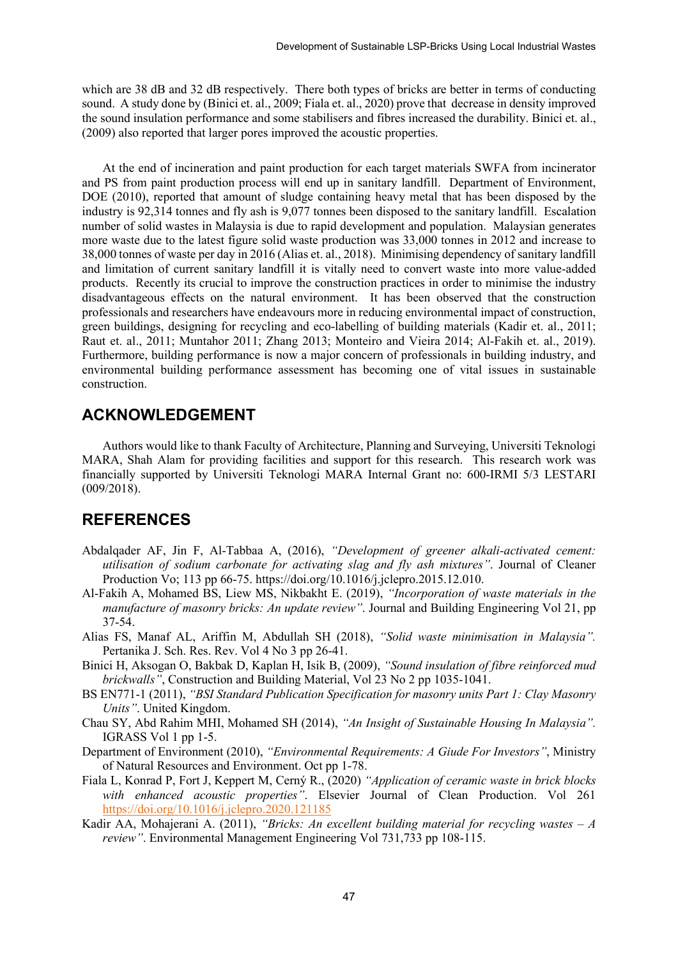which are 38 dB and 32 dB respectively. There both types of bricks are better in terms of conducting sound. A study done by (Binici et. al., 2009; Fiala et. al., 2020) prove that decrease in density improved the sound insulation performance and some stabilisers and fibres increased the durability. Binici et. al., (2009) also reported that larger pores improved the acoustic properties.

At the end of incineration and paint production for each target materials SWFA from incinerator and PS from paint production process will end up in sanitary landfill. Department of Environment, DOE (2010), reported that amount of sludge containing heavy metal that has been disposed by the industry is 92,314 tonnes and fly ash is 9,077 tonnes been disposed to the sanitary landfill. Escalation number of solid wastes in Malaysia is due to rapid development and population. Malaysian generates more waste due to the latest figure solid waste production was 33,000 tonnes in 2012 and increase to 38,000 tonnes of waste per day in 2016 (Alias et. al., 2018). Minimising dependency of sanitary landfill and limitation of current sanitary landfill it is vitally need to convert waste into more value-added products. Recently its crucial to improve the construction practices in order to minimise the industry disadvantageous effects on the natural environment. It has been observed that the construction professionals and researchers have endeavours more in reducing environmental impact of construction, green buildings, designing for recycling and eco-labelling of building materials (Kadir et. al., 2011; Raut et. al., 2011; Muntahor 2011; Zhang 2013; Monteiro and Vieira 2014; Al-Fakih et. al., 2019). Furthermore, building performance is now a major concern of professionals in building industry, and environmental building performance assessment has becoming one of vital issues in sustainable construction.

#### **ACKNOWLEDGEMENT**

Authors would like to thank Faculty of Architecture, Planning and Surveying, Universiti Teknologi MARA, Shah Alam for providing facilities and support for this research. This research work was financially supported by Universiti Teknologi MARA Internal Grant no: 600-IRMI 5/3 LESTARI (009/2018).

### **REFERENCES**

- Abdalqader AF, Jin F, Al-Tabbaa A, (2016), *"Development of greener alkali-activated cement: utilisation of sodium carbonate for activating slag and fly ash mixtures"*. Journal of Cleaner Production Vo; 113 pp 66-75. https://doi.org/10.1016/j.jclepro.2015.12.010.
- Al-Fakih A, Mohamed BS, Liew MS, Nikbakht E. (2019), *"Incorporation of waste materials in the manufacture of masonry bricks: An update review"*. Journal and Building Engineering Vol 21, pp 37-54.
- Alias FS, Manaf AL, Ariffin M, Abdullah SH (2018), *"Solid waste minimisation in Malaysia".* Pertanika J. Sch. Res. Rev. Vol 4 No 3 pp 26-41.
- Binici H, Aksogan O, Bakbak D, Kaplan H, Isik B, (2009), *"Sound insulation of fibre reinforced mud brickwalls"*, Construction and Building Material, Vol 23 No 2 pp 1035-1041.
- BS EN771-1 (2011), *"BSI Standard Publication Specification for masonry units Part 1: Clay Masonry Units"*. United Kingdom.
- Chau SY, Abd Rahim MHI, Mohamed SH (2014), *"An Insight of Sustainable Housing In Malaysia".* IGRASS Vol 1 pp 1-5.
- Department of Environment (2010), *"Environmental Requirements: A Giude For Investors"*, Ministry of Natural Resources and Environment. Oct pp 1-78.
- Fiala L, Konrad P, Fort J, Keppert M, Cerný R., (2020) *"Application of ceramic waste in brick blocks with enhanced acoustic properties"*. Elsevier Journal of Clean Production. Vol 261 <https://doi.org/10.1016/j.jclepro.2020.121185>
- Kadir AA, Mohajerani A. (2011), *"Bricks: An excellent building material for recycling wastes – A review"*. Environmental Management Engineering Vol 731,733 pp 108-115.